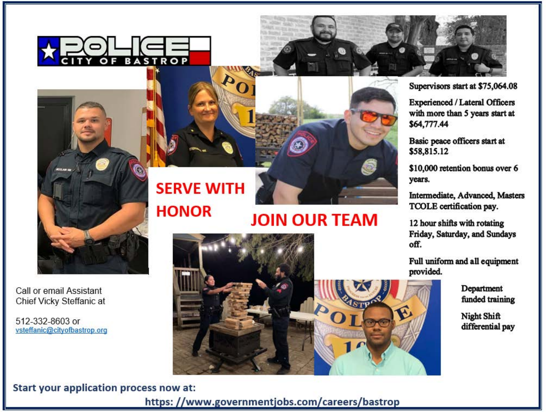



**Experienced / Lateral Officers** with more than 5 years start at \$64,777.44

Basic peace officers start at \$58,815.12

\$10,000 retention bonus over 6 years.

Intermediate, Advanced, Masters TCOLE certification pay.

12 hour shifts with rotating Friday, Saturday, and Sundays off.

Full uniform and all equipment provided.

> Department funded training

> **Night Shift** differential pay

# **SERVE WITH HONOR**

# **JOIN OUR TEAM**



# Start your application process now at:

Call or email Assistant

Chief Vicky Steffanic at

vsteffanic@cityofbastrop.org

512-332-8603 or

https://www.governmentjobs.com/careers/bastrop